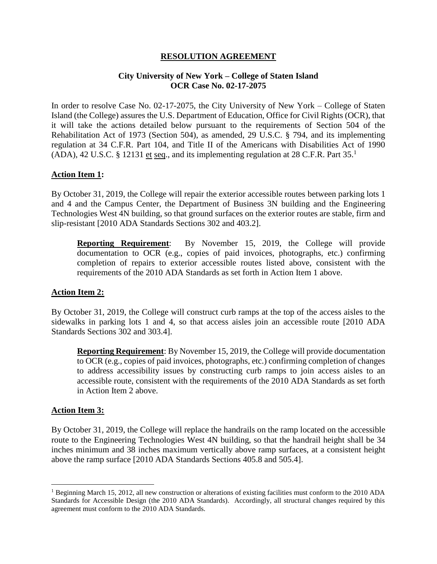## **RESOLUTION AGREEMENT**

## **City University of New York – College of Staten Island OCR Case No. 02-17-2075**

In order to resolve Case No. 02-17-2075, the City University of New York – College of Staten Island (the College) assures the U.S. Department of Education, Office for Civil Rights (OCR), that it will take the actions detailed below pursuant to the requirements of Section 504 of the Rehabilitation Act of 1973 (Section 504), as amended, 29 U.S.C. § 794, and its implementing regulation at 34 C.F.R. Part 104, and Title II of the Americans with Disabilities Act of 1990  $(ADA)$ , 42 U.S.C. § 12131 et seq., and its implementing regulation at 28 C.F.R. Part 35.<sup>1</sup>

# **Action Item 1:**

By October 31, 2019, the College will repair the exterior accessible routes between parking lots 1 and 4 and the Campus Center, the Department of Business 3N building and the Engineering Technologies West 4N building, so that ground surfaces on the exterior routes are stable, firm and slip-resistant [2010 ADA Standards Sections 302 and 403.2].

**Reporting Requirement**: By November 15, 2019, the College will provide documentation to OCR (e.g., copies of paid invoices, photographs, etc.) confirming completion of repairs to exterior accessible routes listed above, consistent with the requirements of the 2010 ADA Standards as set forth in Action Item 1 above.

## **Action Item 2:**

By October 31, 2019, the College will construct curb ramps at the top of the access aisles to the sidewalks in parking lots 1 and 4, so that access aisles join an accessible route [2010 ADA Standards Sections 302 and 303.4].

**Reporting Requirement**: By November 15, 2019, the College will provide documentation to OCR (e.g., copies of paid invoices, photographs, etc.) confirming completion of changes to address accessibility issues by constructing curb ramps to join access aisles to an accessible route, consistent with the requirements of the 2010 ADA Standards as set forth in Action Item 2 above.

## **Action Item 3:**

By October 31, 2019, the College will replace the handrails on the ramp located on the accessible route to the Engineering Technologies West 4N building, so that the handrail height shall be 34 inches minimum and 38 inches maximum vertically above ramp surfaces, at a consistent height above the ramp surface [2010 ADA Standards Sections 405.8 and 505.4].

<sup>1</sup> Beginning March 15, 2012, all new construction or alterations of existing facilities must conform to the 2010 ADA Standards for Accessible Design (the 2010 ADA Standards). Accordingly, all structural changes required by this agreement must conform to the 2010 ADA Standards.